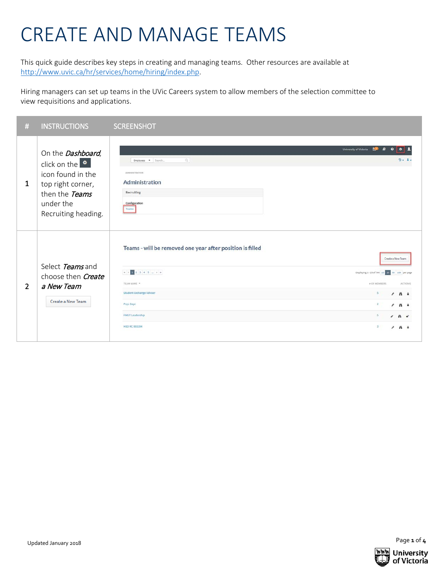## CREATE AND MANAGE TEAMS

This quick guide describes key steps in creating and managing teams. Other resources are available at [http://www.uvic.ca/hr/services/home/hiring/index.php.](http://www.uvic.ca/hr/services/home/hiring/index.php)

Hiring managers can set up teams in the UVic Careers system to allow members of the selection committee to view requisitions and applications.

| $\#$           | <b>INSTRUCTIONS</b>                                                                                                                         | <b>SCREENSHOT</b>                                                                                                                                                                                                                                                                                                                                                       |
|----------------|---------------------------------------------------------------------------------------------------------------------------------------------|-------------------------------------------------------------------------------------------------------------------------------------------------------------------------------------------------------------------------------------------------------------------------------------------------------------------------------------------------------------------------|
| 1              | On the Dashboard,<br>click on the $\bullet$<br>icon found in the<br>top right corner,<br>then the Teams<br>under the<br>Recruiting heading. | University of Victoria<br>$\begin{array}{c} \mathbb{Q} \setminus \mathbb{Q} \end{array}$<br>$2 - 1$<br>Employees . Search<br><b>ADMINISTRATION</b><br>Administration<br>Recruiting<br>Configuration<br>Teams                                                                                                                                                            |
| $\overline{2}$ | Select Teams and<br>choose then <i>Create</i><br>a New Team<br>Create a New Team                                                            | Teams - will be removed one year after position is filled<br>Create a New Team<br>Displaying 1-25 of 744 10 25 50 100 per page<br>TEAM NAME **<br># OF MEMBERS<br><b>ACTIONS</b><br><b>Student Exchange Adviser</b><br>5<br>2A <sub>0</sub><br>Psyc Dept<br>2 <sup>1</sup><br>$\lambda$ $\mu$<br><b>FMGT Leadership</b><br>5.<br>$A$ $B$<br><b>HSD RC 993394</b><br>3.1 |



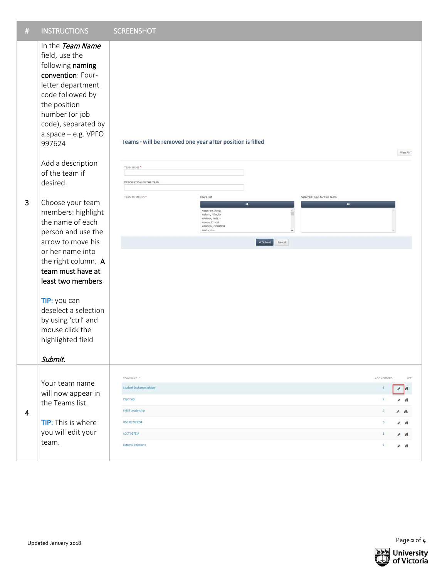| $\#$ | <b>INSTRUCTIONS</b>                                                                                                                                                                                                                                                                                                                                                                                                                                                                                                                                                                | <b>SCREENSHOT</b>                                                                                                                                                                                                                                                                                               |                                                                                                                                                    |
|------|------------------------------------------------------------------------------------------------------------------------------------------------------------------------------------------------------------------------------------------------------------------------------------------------------------------------------------------------------------------------------------------------------------------------------------------------------------------------------------------------------------------------------------------------------------------------------------|-----------------------------------------------------------------------------------------------------------------------------------------------------------------------------------------------------------------------------------------------------------------------------------------------------------------|----------------------------------------------------------------------------------------------------------------------------------------------------|
| 3    | In the Team Name<br>field, use the<br>following naming<br>convention: Four-<br>letter department<br>code followed by<br>the position<br>number (or job<br>code), separated by<br>a space - e.g. VPFO<br>997624<br>Add a description<br>of the team if<br>desired.<br>Choose your team<br>members: highlight<br>the name of each<br>person and use the<br>arrow to move his<br>or her name into<br>the right column. A<br>team must have at<br>least two members.<br>TIP: you can<br>deselect a selection<br>by using 'ctrl' and<br>mouse click the<br>highlighted field<br>Submit. | Teams - will be removed one year after position is filled<br>TEAM NAME *<br>DESCRIPTION OF THE TEAM<br>TEAM MEMBERS*<br><b>Users List</b><br>Selected Users for this Team<br>٠<br>٠<br>Aagesen, Sonja<br>Aalam, Niloofar<br>AARMA, KATLIN<br>Aaron, Ernest<br>AARSEN, CORINNE<br>Aarts, Jos<br>Submit<br>Cancel | View All T                                                                                                                                         |
| 4    | Your team name<br>will now appear in<br>the Teams list.<br><b>TIP:</b> This is where<br>you will edit your<br>team.                                                                                                                                                                                                                                                                                                                                                                                                                                                                | TEAM NAME *<br>Student Exchange Adviser<br>Psyc Dept<br>FMGT Leadership<br>HSD RC 993394<br>ACCT 997814<br><b>External Relations</b>                                                                                                                                                                            | # OF MEMBERS<br>ACT <sup>-</sup><br>耳<br>m<br>v<br>$\overline{2}$<br>$\sqrt{a}$<br>$\mathbf{1}$<br>$\sim$ $\kappa$<br>$\overline{2}$<br>$\prime$ A |
|      | Updated January 2018                                                                                                                                                                                                                                                                                                                                                                                                                                                                                                                                                               |                                                                                                                                                                                                                                                                                                                 | Page 2 of 4                                                                                                                                        |

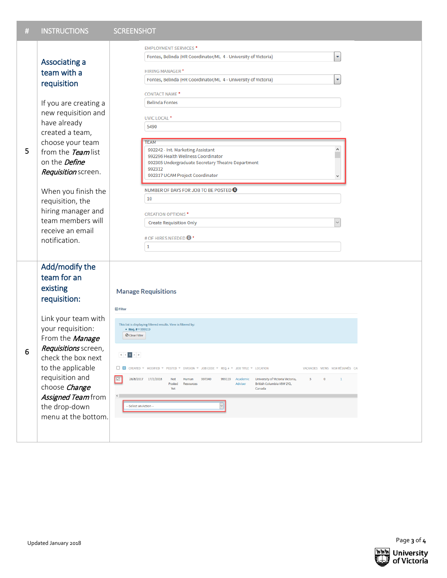| # | <b>INSTRUCTIONS</b>                                                                                                                                                                                                                                                                          |                                                                                                                                                                                                                                                                                                                                                                                                                                                                                                                                                                                                                                                                                                                                                            |
|---|----------------------------------------------------------------------------------------------------------------------------------------------------------------------------------------------------------------------------------------------------------------------------------------------|------------------------------------------------------------------------------------------------------------------------------------------------------------------------------------------------------------------------------------------------------------------------------------------------------------------------------------------------------------------------------------------------------------------------------------------------------------------------------------------------------------------------------------------------------------------------------------------------------------------------------------------------------------------------------------------------------------------------------------------------------------|
|   | Associating a<br>team with a<br>requisition<br>If you are creating a<br>new requisition and<br>have already<br>created a team,<br>choose your team                                                                                                                                           | <b>SCREENSHOT</b><br><b>EMPLOYMENT SERVICES*</b><br>$\bar{\mathbf{v}}$<br>Fontes, Belinda (HR Coordinator/ML 4 - University of Victoria)<br><b>HIRING MANAGER*</b><br>Fontes, Belinda (HR Coordinator/ML 4 - University of Victoria)<br><b>CONTACT NAME*</b><br><b>Belinda Fontes</b><br>UVIC LOCAL <sup>*</sup><br>5490<br><b>TEAM</b><br>٨<br>992242 - Int. Marketing Assistant                                                                                                                                                                                                                                                                                                                                                                          |
| 5 | from the Team list<br>on the <i>Define</i><br>Requisition screen.<br>When you finish the<br>requisition, the<br>hiring manager and<br>team members will<br>receive an email<br>notification.                                                                                                 | 992296 Health Wellness Coordinator<br>992305 Undergraduate Secretary Theatre Department<br>992312<br>992317 UCAM Project Coordinator<br>NUMBER OF DAYS FOR JOB TO BE POSTED @<br>10<br><b>CREATION OPTIONS*</b><br>$\check{~}$<br><b>Create Requisition Only</b><br># OF HIRES NEEDED <sup>4</sup><br>1                                                                                                                                                                                                                                                                                                                                                                                                                                                    |
| 6 | Add/modify the<br>team for an<br>existing<br>requisition:<br>Link your team with<br>your requisition:<br>From the Manage<br>Requisitions screen,<br>check the box next<br>to the applicable<br>requisition and<br>choose Change<br>Assigned Teamfrom<br>the drop-down<br>menu at the bottom. | <b>Manage Requisitions</b><br><b>D</b> Filter<br>This list is displaying filtered results. View is filtered by:<br>• Req. $# = 999119$<br><b>O</b> Clear Filter<br>$\left\  \left\langle \left\langle \right  \right  \right\ $<br>$\left\  \left\langle \left  \right  \right  \right\ $ $\left\  \left\langle \left  \right  \right  \right\ $<br>D CREATED * MODIFIED * POSTED * DIVISION * JOB CODE * REQ. # * JOB TITLE * LOCATION<br>VACANCIES VIEWS NEW RÉSUMÉS CAI<br>$\boxed{\boxtimes}$<br>28/8/2017 17/1/2018<br>997340<br>999119 Academic<br>University of Victoria Victoria,<br>5<br>$\mathbf{0}$<br>$1\,$<br>Not<br>Human<br>Adviser<br>British Columbia V8W 2Y2,<br>Posted<br>Resources<br>Canada<br>Yet<br>$\leq$<br>- Select an Action -- |
|   | Updated January 2018                                                                                                                                                                                                                                                                         | Page 3 of 4                                                                                                                                                                                                                                                                                                                                                                                                                                                                                                                                                                                                                                                                                                                                                |